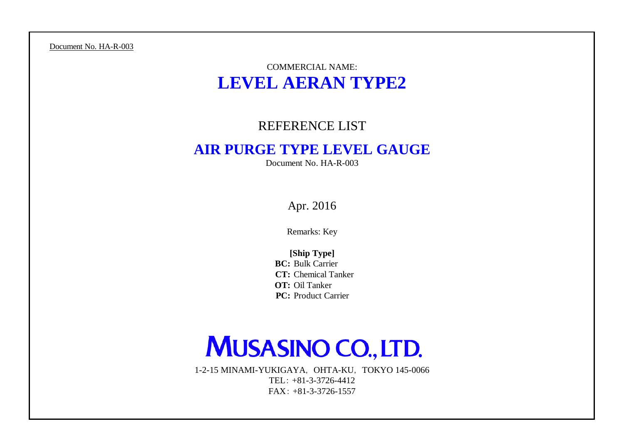Document No. HA-R-003

## COMMERCIAL NAME: **LEVEL AERAN TYPE2**

### REFERENCE LIST

## **AIR PURGE TYPE LEVEL GAUGE**

Document No. HA-R-003

Apr. 2016

Remarks: Key

**BC:** Bulk Carrier **CT:** Chemical Tanker **OT:** Oil Tanker **PC:** Product Carrier **[Ship Type]**

# **MUSASINO CO., LTD.**

1-2-15 MINAMI-YUKIGAYA, OHTA-KU, TOKYO 145-0066 TEL: +81-3-3726-4412 FAX: +81-3-3726-1557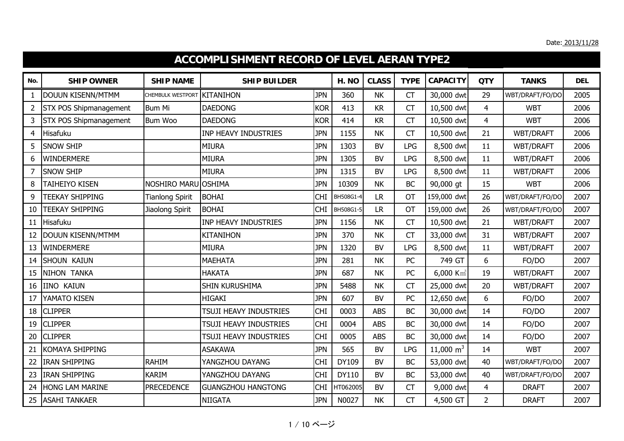|                | <b>ACCOMPLISHMENT RECORD OF LEVEL AERAN TYPE2</b> |                             |                               |            |           |              |             |                         |                |                  |            |  |  |
|----------------|---------------------------------------------------|-----------------------------|-------------------------------|------------|-----------|--------------|-------------|-------------------------|----------------|------------------|------------|--|--|
| No.            | <b>SHIP OWNER</b>                                 | <b>SHIP NAME</b>            | <b>SHIP BUILDER</b>           |            | H. NO     | <b>CLASS</b> | <b>TYPE</b> | <b>CAPACITY</b>         | <b>QTY</b>     | <b>TANKS</b>     | <b>DEL</b> |  |  |
| 1              | <b>DOUUN KISENN/MTMM</b>                          | CHEMBULK WESTPORT KITANIHON |                               | <b>JPN</b> | 360       | <b>NK</b>    | CT          | 30,000 dwt              | 29             | WBT/DRAFT/FO/DO  | 2005       |  |  |
| $\overline{2}$ | <b>STX POS Shipmanagement</b>                     | <b>Bum Mi</b>               | <b>DAEDONG</b>                | <b>KOR</b> | 413       | <b>KR</b>    | CT          | 10,500 dwt              | $\overline{4}$ | <b>WBT</b>       | 2006       |  |  |
| 3              | <b>STX POS Shipmanagement</b>                     | Bum Woo                     | <b>DAEDONG</b>                | <b>KOR</b> | 414       | <b>KR</b>    | <b>CT</b>   | 10,500 dwt              | $\overline{4}$ | <b>WBT</b>       | 2006       |  |  |
| $\overline{4}$ | Hisafuku                                          |                             | <b>INP HEAVY INDUSTRIES</b>   | <b>JPN</b> | 1155      | <b>NK</b>    | CT          | 10,500 dwt              | 21             | WBT/DRAFT        | 2006       |  |  |
| 5              | <b>SNOW SHIP</b>                                  |                             | <b>MIURA</b>                  | <b>JPN</b> | 1303      | <b>BV</b>    | <b>LPG</b>  | 8,500 dwt               | 11             | WBT/DRAFT        | 2006       |  |  |
| 6              | <b>WINDERMERE</b>                                 |                             | <b>MIURA</b>                  | <b>JPN</b> | 1305      | <b>BV</b>    | <b>LPG</b>  | 8,500 dwt               | 11             | <b>WBT/DRAFT</b> | 2006       |  |  |
| 7              | <b>SNOW SHIP</b>                                  |                             | <b>MIURA</b>                  | <b>JPN</b> | 1315      | <b>BV</b>    | <b>LPG</b>  | 8,500 dwt               | 11             | WBT/DRAFT        | 2006       |  |  |
| 8              | <b>TAIHEIYO KISEN</b>                             | NOSHIRO MARU                | <b>OSHIMA</b>                 | <b>JPN</b> | 10309     | <b>NK</b>    | <b>BC</b>   | 90,000 gt               | 15             | <b>WBT</b>       | 2006       |  |  |
| 9              | <b>TEEKAY SHIPPING</b>                            | <b>Tianlong Spirit</b>      | <b>BOHAI</b>                  | <b>CHI</b> | BH508G1-4 | <b>LR</b>    | <b>OT</b>   | 159,000 dwt             | 26             | WBT/DRAFT/FO/DO  | 2007       |  |  |
| 10             | <b>TEEKAY SHIPPING</b>                            | Jiaolong Spirit             | <b>BOHAI</b>                  | <b>CHI</b> | BH508G1-5 | <b>LR</b>    | <b>OT</b>   | 159,000 dwt             | 26             | WBT/DRAFT/FO/DO  | 2007       |  |  |
| 11             | Hisafuku                                          |                             | <b>INP HEAVY INDUSTRIES</b>   | <b>JPN</b> | 1156      | <b>NK</b>    | <b>CT</b>   | 10,500 dwt              | 21             | WBT/DRAFT        | 2007       |  |  |
| 12             | <b>DOUUN KISENN/MTMM</b>                          |                             | <b>KITANIHON</b>              | <b>JPN</b> | 370       | <b>NK</b>    | <b>CT</b>   | 33,000 dwt              | 31             | WBT/DRAFT        | 2007       |  |  |
| 13             | <b>WINDERMERE</b>                                 |                             | <b>MIURA</b>                  | <b>JPN</b> | 1320      | <b>BV</b>    | <b>LPG</b>  | 8,500 dwt               | 11             | WBT/DRAFT        | 2007       |  |  |
| 14             | <b>SHOUN KAIUN</b>                                |                             | <b>MAEHATA</b>                | <b>JPN</b> | 281       | <b>NK</b>    | PC          | 749 GT                  | 6              | FO/DO            | 2007       |  |  |
| 15             | NIHON TANKA                                       |                             | <b>HAKATA</b>                 | <b>JPN</b> | 687       | <b>NK</b>    | PC          | $6,000$ Km <sup>3</sup> | 19             | WBT/DRAFT        | 2007       |  |  |
| 16             | <b>IINO KAIUN</b>                                 |                             | SHIN KURUSHIMA                | <b>JPN</b> | 5488      | <b>NK</b>    | <b>CT</b>   | 25,000 dwt              | 20             | <b>WBT/DRAFT</b> | 2007       |  |  |
| 17             | YAMATO KISEN                                      |                             | <b>HIGAKI</b>                 | <b>JPN</b> | 607       | <b>BV</b>    | PC          | 12,650 dwt              | 6              | FO/DO            | 2007       |  |  |
| 18             | <b>CLIPPER</b>                                    |                             | TSUJI HEAVY INDUSTRIES        | <b>CHI</b> | 0003      | <b>ABS</b>   | <b>BC</b>   | 30,000 dwt              | 14             | FO/DO            | 2007       |  |  |
| 19             | <b>CLIPPER</b>                                    |                             | <b>TSUJI HEAVY INDUSTRIES</b> | <b>CHI</b> | 0004      | <b>ABS</b>   | <b>BC</b>   | 30,000 dwt              | 14             | FO/DO            | 2007       |  |  |
| 20             | <b>CLIPPER</b>                                    |                             | TSUJI HEAVY INDUSTRIES        | <b>CHI</b> | 0005      | <b>ABS</b>   | <b>BC</b>   | 30,000 dwt              | 14             | FO/DO            | 2007       |  |  |
| 21             | <b>KOMAYA SHIPPING</b>                            |                             | <b>ASAKAWA</b>                | <b>JPN</b> | 565       | <b>BV</b>    | <b>LPG</b>  | 11,000 $m^3$            | 14             | <b>WBT</b>       | 2007       |  |  |
| 22             | <b>IRAN SHIPPING</b>                              | <b>RAHIM</b>                | YANGZHOU DAYANG               | <b>CHI</b> | DY109     | <b>BV</b>    | <b>BC</b>   | 53,000 dwt              | 40             | WBT/DRAFT/FO/DO  | 2007       |  |  |
| 23             | <b>IRAN SHIPPING</b>                              | <b>KARIM</b>                | YANGZHOU DAYANG               | <b>CHI</b> | DY110     | <b>BV</b>    | BC          | 53,000 dwt              | 40             | WBT/DRAFT/FO/DO  | 2007       |  |  |
| 24             | <b>HONG LAM MARINE</b>                            | <b>PRECEDENCE</b>           | <b>GUANGZHOU HANGTONG</b>     | <b>CHI</b> | HT062005  | <b>BV</b>    | <b>CT</b>   | 9,000 dwt               | $\overline{4}$ | <b>DRAFT</b>     | 2007       |  |  |
| 25             | <b>ASAHI TANKAER</b>                              |                             | <b>NIIGATA</b>                | <b>JPN</b> | N0027     | <b>NK</b>    | <b>CT</b>   | 4,500 GT                | $\overline{2}$ | <b>DRAFT</b>     | 2007       |  |  |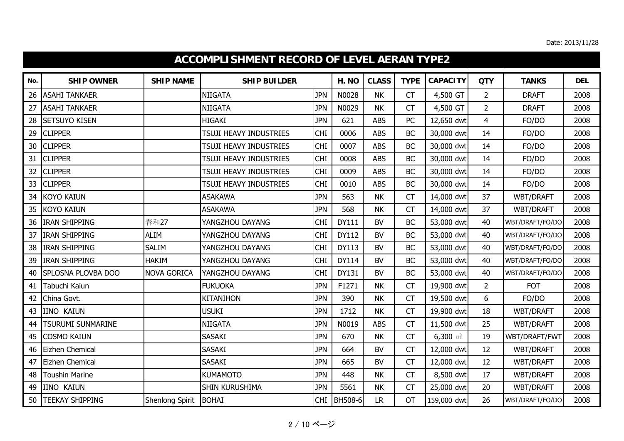|     | <b>ACCOMPLISHMENT RECORD OF LEVEL AERAN TYPE2</b> |                    |                        |            |               |              |             |                     |                |                  |            |  |  |
|-----|---------------------------------------------------|--------------------|------------------------|------------|---------------|--------------|-------------|---------------------|----------------|------------------|------------|--|--|
| No. | <b>SHIP OWNER</b>                                 | <b>SHIP NAME</b>   | <b>SHIP BUILDER</b>    |            | H. NO         | <b>CLASS</b> | <b>TYPE</b> | <b>CAPACITY</b>     | <b>QTY</b>     | <b>TANKS</b>     | <b>DEL</b> |  |  |
| 26  | <b>ASAHI TANKAER</b>                              |                    | NIIGATA                | <b>JPN</b> | N0028         | <b>NK</b>    | <b>CT</b>   | 4,500 GT            | $\overline{2}$ | <b>DRAFT</b>     | 2008       |  |  |
| 27  | <b>ASAHI TANKAER</b>                              |                    | <b>NIIGATA</b>         | <b>JPN</b> | N0029         | <b>NK</b>    | <b>CT</b>   | 4,500 GT            | $\overline{2}$ | <b>DRAFT</b>     | 2008       |  |  |
| 28  | <b>SETSUYO KISEN</b>                              |                    | <b>HIGAKI</b>          | <b>JPN</b> | 621           | <b>ABS</b>   | PC          | 12,650 dwt          | $\overline{4}$ | FO/DO            | 2008       |  |  |
| 29  | <b>CLIPPER</b>                                    |                    | TSUJI HEAVY INDUSTRIES | <b>CHI</b> | 0006          | <b>ABS</b>   | <b>BC</b>   | 30,000 dwt          | 14             | FO/DO            | 2008       |  |  |
| 30  | <b>CLIPPER</b>                                    |                    | TSUJI HEAVY INDUSTRIES | <b>CHI</b> | 0007          | <b>ABS</b>   | <b>BC</b>   | 30,000 dwt          | 14             | FO/DO            | 2008       |  |  |
| 31  | <b>CLIPPER</b>                                    |                    | TSUJI HEAVY INDUSTRIES | <b>CHI</b> | 0008          | <b>ABS</b>   | <b>BC</b>   | 30,000 dwt          | 14             | FO/DO            | 2008       |  |  |
| 32  | <b>CLIPPER</b>                                    |                    | TSUJI HEAVY INDUSTRIES | <b>CHI</b> | 0009          | <b>ABS</b>   | <b>BC</b>   | 30,000 dwt          | 14             | FO/DO            | 2008       |  |  |
| 33  | <b>CLIPPER</b>                                    |                    | TSUJI HEAVY INDUSTRIES | <b>CHI</b> | 0010          | <b>ABS</b>   | <b>BC</b>   | 30,000 dwt          | 14             | FO/DO            | 2008       |  |  |
| 34  | <b>KOYO KAIUN</b>                                 |                    | <b>ASAKAWA</b>         | <b>JPN</b> | 563           | <b>NK</b>    | <b>CT</b>   | 14,000 dwt          | 37             | <b>WBT/DRAFT</b> | 2008       |  |  |
| 35  | <b>KOYO KAIUN</b>                                 |                    | <b>ASAKAWA</b>         | <b>JPN</b> | 568           | <b>NK</b>    | <b>CT</b>   | 14,000 dwt          | 37             | WBT/DRAFT        | 2008       |  |  |
| 36  | <b>IRAN SHIPPING</b>                              | 春和27               | YANGZHOU DAYANG        | <b>CHI</b> | <b>DY111</b>  | <b>BV</b>    | <b>BC</b>   | 53,000 dwt          | 40             | WBT/DRAFT/FO/DO  | 2008       |  |  |
| 37  | <b>IRAN SHIPPING</b>                              | <b>ALIM</b>        | YANGZHOU DAYANG        | <b>CHI</b> | <b>DY112</b>  | <b>BV</b>    | BC          | 53,000 dwt          | 40             | WBT/DRAFT/FO/DO  | 2008       |  |  |
| 38  | <b>IRAN SHIPPING</b>                              | <b>SALIM</b>       | YANGZHOU DAYANG        | <b>CHI</b> | <b>DY113</b>  | <b>BV</b>    | <b>BC</b>   | 53,000 dwt          | 40             | WBT/DRAFT/FO/DO  | 2008       |  |  |
| 39  | <b>IRAN SHIPPING</b>                              | <b>HAKIM</b>       | YANGZHOU DAYANG        | <b>CHI</b> | <b>DY114</b>  | <b>BV</b>    | <b>BC</b>   | 53,000 dwt          | 40             | WBT/DRAFT/FO/DO  | 2008       |  |  |
| 40  | SPLOSNA PLOVBA DOO                                | <b>NOVA GORICA</b> | YANGZHOU DAYANG        | <b>CHI</b> | DY131         | <b>BV</b>    | <b>BC</b>   | 53,000 dwt          | 40             | WBT/DRAFT/FO/DO  | 2008       |  |  |
| 41  | Tabuchi Kaiun                                     |                    | <b>FUKUOKA</b>         | <b>JPN</b> | F1271         | <b>NK</b>    | CT          | 19,900 dwt          | $\overline{2}$ | <b>FOT</b>       | 2008       |  |  |
| 42  | China Govt.                                       |                    | <b>KITANIHON</b>       | <b>JPN</b> | 390           | <b>NK</b>    | <b>CT</b>   | 19,500 dwt          | 6              | FO/DO            | 2008       |  |  |
| 43  | <b>IINO KAIUN</b>                                 |                    | <b>USUKI</b>           | <b>JPN</b> | 1712          | <b>NK</b>    | <b>CT</b>   | 19,900 dwt          | 18             | WBT/DRAFT        | 2008       |  |  |
| 44  | TSURUMI SUNMARINE                                 |                    | <b>NIIGATA</b>         | <b>JPN</b> | N0019         | <b>ABS</b>   | <b>CT</b>   | 11,500 dwt          | 25             | WBT/DRAFT        | 2008       |  |  |
| 45  | <b>COSMO KAIUN</b>                                |                    | SASAKI                 | <b>JPN</b> | 670           | <b>NK</b>    | <b>CT</b>   | $6,300 \text{ m}^3$ | 19             | WBT/DRAFT/FWT    | 2008       |  |  |
| 46  | Eizhen Chemical                                   |                    | <b>SASAKI</b>          | <b>JPN</b> | 664           | <b>BV</b>    | <b>CT</b>   | 12,000 dwt          | 12             | WBT/DRAFT        | 2008       |  |  |
| 47  | Eizhen Chemical                                   |                    | <b>SASAKI</b>          | <b>JPN</b> | 665           | <b>BV</b>    | <b>CT</b>   | 12,000 dwt          | 12             | WBT/DRAFT        | 2008       |  |  |
| 48  | <b>Toushin Marine</b>                             |                    | KUMAMOTO               | <b>JPN</b> | 448           | <b>NK</b>    | <b>CT</b>   | 8,500 dwt           | 17             | WBT/DRAFT        | 2008       |  |  |
| 49  | <b>IINO KAIUN</b>                                 |                    | <b>SHIN KURUSHIMA</b>  | <b>JPN</b> | 5561          | <b>NK</b>    | <b>CT</b>   | 25,000 dwt          | 20             | WBT/DRAFT        | 2008       |  |  |
| 50  | <b>TEEKAY SHIPPING</b>                            | Shenlong Spirit    | <b>BOHAI</b>           |            | CHI   BH508-6 | <b>LR</b>    | <b>OT</b>   | 159,000 dwt         | 26             | WBT/DRAFT/FO/DO  | 2008       |  |  |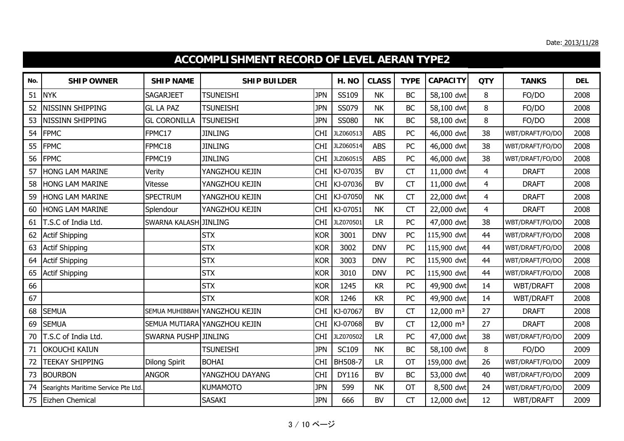|     | <b>ACCOMPLISHMENT RECORD OF LEVEL AERAN TYPE2</b> |                      |                              |            |              |              |             |                       |                |                  |            |  |  |
|-----|---------------------------------------------------|----------------------|------------------------------|------------|--------------|--------------|-------------|-----------------------|----------------|------------------|------------|--|--|
| No. | <b>SHIP OWNER</b>                                 | <b>SHIP NAME</b>     | <b>SHIP BUILDER</b>          |            | H. NO        | <b>CLASS</b> | <b>TYPE</b> | <b>CAPACITY</b>       | <b>QTY</b>     | <b>TANKS</b>     | <b>DEL</b> |  |  |
| 51  | <b>NYK</b>                                        | <b>SAGARJEET</b>     | <b>TSUNEISHI</b>             | <b>JPN</b> | SS109        | <b>NK</b>    | <b>BC</b>   | 58,100 dwt            | 8              | FO/DO            | 2008       |  |  |
| 52  | NISSINN SHIPPING                                  | <b>GL LA PAZ</b>     | <b>TSUNEISHI</b>             | <b>JPN</b> | SS079        | <b>NK</b>    | <b>BC</b>   | 58,100 dwt            | 8              | FO/DO            | 2008       |  |  |
| 53  | <b>NISSINN SHIPPING</b>                           | <b>GL CORONILLA</b>  | <b>TSUNEISHI</b>             | <b>JPN</b> | <b>SS080</b> | <b>NK</b>    | <b>BC</b>   | 58,100 dwt            | 8              | FO/DO            | 2008       |  |  |
| 54  | <b>FPMC</b>                                       | FPMC17               | <b>JINLING</b>               | <b>CHI</b> | JLZ060513    | <b>ABS</b>   | PC          | 46,000 dwt            | 38             | WBT/DRAFT/FO/DO  | 2008       |  |  |
| 55  | <b>FPMC</b>                                       | FPMC18               | <b>JINLING</b>               | <b>CHI</b> | JLZ060514    | <b>ABS</b>   | PC          | 46,000 dwt            | 38             | WBT/DRAFT/FO/DO  | 2008       |  |  |
| 56  | <b>FPMC</b>                                       | FPMC19               | <b>JINLING</b>               | <b>CHI</b> | JLZ060515    | <b>ABS</b>   | PC          | 46,000 dwt            | 38             | WBT/DRAFT/FO/DO  | 2008       |  |  |
| 57  | <b>HONG LAM MARINE</b>                            | Verity               | YANGZHOU KEJIN               | <b>CHI</b> | KJ-07035     | BV           | <b>CT</b>   | 11,000 dwt            | $\overline{4}$ | <b>DRAFT</b>     | 2008       |  |  |
| 58  | HONG LAM MARINE                                   | Vitesse              | YANGZHOU KEJIN               | <b>CHI</b> | KJ-07036     | <b>BV</b>    | <b>CT</b>   | 11,000 dwt            | $\overline{4}$ | <b>DRAFT</b>     | 2008       |  |  |
| 59  | <b>HONG LAM MARINE</b>                            | <b>SPECTRUM</b>      | YANGZHOU KEJIN               | <b>CHI</b> | KJ-07050     | <b>NK</b>    | <b>CT</b>   | 22,000 dwt            | 4              | <b>DRAFT</b>     | 2008       |  |  |
| 60  | <b>HONG LAM MARINE</b>                            | Splendour            | YANGZHOU KEJIN               | <b>CHI</b> | KJ-07051     | <b>NK</b>    | <b>CT</b>   | 22,000 dwt            | $\overline{4}$ | <b>DRAFT</b>     | 2008       |  |  |
| 61  | T.S.C of India Ltd.                               | SWARNA KALASH        | <b>JINLING</b>               | <b>CHI</b> | JLZ070501    | <b>LR</b>    | PC          | 47,000 dwt            | 38             | WBT/DRAFT/FO/DO  | 2008       |  |  |
| 62  | <b>Actif Shipping</b>                             |                      | <b>STX</b>                   | <b>KOR</b> | 3001         | <b>DNV</b>   | PC          | 115,900 dwt           | 44             | WBT/DRAFT/FO/DO  | 2008       |  |  |
| 63  | <b>Actif Shipping</b>                             |                      | <b>STX</b>                   | <b>KOR</b> | 3002         | <b>DNV</b>   | PC          | 115,900 dwt           | 44             | WBT/DRAFT/FO/DO  | 2008       |  |  |
| 64  | <b>Actif Shipping</b>                             |                      | <b>STX</b>                   | <b>KOR</b> | 3003         | <b>DNV</b>   | PC          | 115,900 dwt           | 44             | WBT/DRAFT/FO/DO  | 2008       |  |  |
| 65  | <b>Actif Shipping</b>                             |                      | <b>STX</b>                   | <b>KOR</b> | 3010         | <b>DNV</b>   | PC          | 115,900 dwt           | 44             | WBT/DRAFT/FO/DO  | 2008       |  |  |
| 66  |                                                   |                      | <b>STX</b>                   | <b>KOR</b> | 1245         | <b>KR</b>    | PC          | 49,900 dwt            | 14             | WBT/DRAFT        | 2008       |  |  |
| 67  |                                                   |                      | <b>STX</b>                   | <b>KOR</b> | 1246         | <b>KR</b>    | PC          | 49,900 dwt            | 14             | <b>WBT/DRAFT</b> | 2008       |  |  |
| 68  | <b>SEMUA</b>                                      | SEMUA MUHIBBAH       | YANGZHOU KEJIN               | <b>CHI</b> | KJ-07067     | <b>BV</b>    | <b>CT</b>   | $12,000 \text{ m}^3$  | 27             | <b>DRAFT</b>     | 2008       |  |  |
| 69  | <b>SEMUA</b>                                      |                      | SEMUA MUTIARA YANGZHOU KEJIN | <b>CHI</b> | KJ-07068     | <b>BV</b>    | <b>CT</b>   | 12,000 m <sup>3</sup> | 27             | <b>DRAFT</b>     | 2008       |  |  |
| 70  | T.S.C of India Ltd.                               | <b>SWARNA PUSHP</b>  | <b>JINLING</b>               | <b>CHI</b> | JLZ070502    | <b>LR</b>    | PC          | 47,000 dwt            | 38             | WBT/DRAFT/FO/DO  | 2009       |  |  |
| 71  | <b>OKOUCHI KAIUN</b>                              |                      | <b>TSUNEISHI</b>             | <b>JPN</b> | SC109        | <b>NK</b>    | <b>BC</b>   | 58,100 dwt            | 8              | FO/DO            | 2009       |  |  |
| 72  | <b>TEEKAY SHIPPING</b>                            | <b>Dilong Spirit</b> | <b>BOHAI</b>                 | <b>CHI</b> | BH508-7      | <b>LR</b>    | <b>OT</b>   | 159,000 dwt           | 26             | WBT/DRAFT/FO/DO  | 2009       |  |  |
| 73  | <b>BOURBON</b>                                    | <b>ANGOR</b>         | YANGZHOU DAYANG              | <b>CHI</b> | DY116        | BV           | <b>BC</b>   | 53,000 dwt            | 40             | WBT/DRAFT/FO/DO  | 2009       |  |  |
| 74  | Searights Maritime Service Pte Ltd.               |                      | KUMAMOTO                     | <b>JPN</b> | 599          | <b>NK</b>    | OT          | 8,500 dwt             | 24             | WBT/DRAFT/FO/DO  | 2009       |  |  |
| 75  | Eizhen Chemical                                   |                      | <b>SASAKI</b>                | <b>JPN</b> | 666          | <b>BV</b>    | <b>CT</b>   | 12,000 dwt            | 12             | <b>WBT/DRAFT</b> | 2009       |  |  |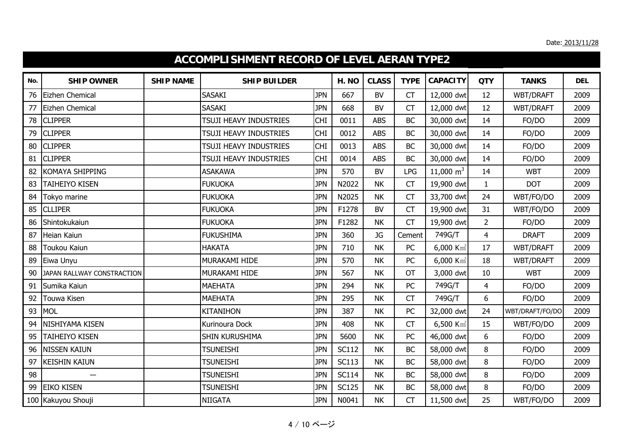|     | ACCOMPLISHMENT RECORD OF LEVEL AERAN TYPE2 |                  |                               |            |              |              |             |                         |                |                  |            |  |  |
|-----|--------------------------------------------|------------------|-------------------------------|------------|--------------|--------------|-------------|-------------------------|----------------|------------------|------------|--|--|
| No. | <b>SHIP OWNER</b>                          | <b>SHIP NAME</b> | <b>SHIP BUILDER</b>           |            | H. NO        | <b>CLASS</b> | <b>TYPE</b> | <b>CAPACITY</b>         | <b>QTY</b>     | <b>TANKS</b>     | <b>DEL</b> |  |  |
| 76  | Eizhen Chemical                            |                  | <b>SASAKI</b>                 | <b>JPN</b> | 667          | <b>BV</b>    | <b>CT</b>   | 12,000 dwt              | 12             | WBT/DRAFT        | 2009       |  |  |
| 77  | Eizhen Chemical                            |                  | <b>SASAKI</b>                 | <b>JPN</b> | 668          | <b>BV</b>    | <b>CT</b>   | 12,000 dwt              | 12             | WBT/DRAFT        | 2009       |  |  |
| 78  | <b>CLIPPER</b>                             |                  | TSUJI HEAVY INDUSTRIES        | <b>CHI</b> | 0011         | <b>ABS</b>   | <b>BC</b>   | 30,000 dwt              | 14             | FO/DO            | 2009       |  |  |
| 79  | <b>CLIPPER</b>                             |                  | TSUJI HEAVY INDUSTRIES        | <b>CHI</b> | 0012         | <b>ABS</b>   | <b>BC</b>   | 30,000 dwt              | 14             | FO/DO            | 2009       |  |  |
| 80  | <b>CLIPPER</b>                             |                  | TSUJI HEAVY INDUSTRIES        | <b>CHI</b> | 0013         | <b>ABS</b>   | <b>BC</b>   | 30,000 dwt              | 14             | FO/DO            | 2009       |  |  |
| 81  | <b>CLIPPER</b>                             |                  | <b>TSUJI HEAVY INDUSTRIES</b> | <b>CHI</b> | 0014         | <b>ABS</b>   | <b>BC</b>   | 30,000 dwt              | 14             | FO/DO            | 2009       |  |  |
| 82  | <b>KOMAYA SHIPPING</b>                     |                  | <b>ASAKAWA</b>                | <b>JPN</b> | 570          | <b>BV</b>    | <b>LPG</b>  | 11,000 $m^3$            | 14             | <b>WBT</b>       | 2009       |  |  |
| 83  | <b>TAIHEIYO KISEN</b>                      |                  | <b>FUKUOKA</b>                | <b>JPN</b> | N2022        | <b>NK</b>    | <b>CT</b>   | 19,900 dwt              | $\mathbf{1}$   | <b>DOT</b>       | 2009       |  |  |
| 84  | Tokyo marine                               |                  | <b>FUKUOKA</b>                | <b>JPN</b> | N2025        | <b>NK</b>    | <b>CT</b>   | 33,700 dwt              | 24             | WBT/FO/DO        | 2009       |  |  |
| 85  | <b>CLLIPER</b>                             |                  | <b>FUKUOKA</b>                | <b>JPN</b> | F1278        | <b>BV</b>    | <b>CT</b>   | 19,900 dwt              | 31             | WBT/FO/DO        | 2009       |  |  |
| 86  | Shintokukaiun                              |                  | <b>FUKUOKA</b>                | <b>JPN</b> | F1282        | <b>NK</b>    | <b>CT</b>   | 19,900 dwt              | $\overline{2}$ | FO/DO            | 2009       |  |  |
| 87  | Heian Kaiun                                |                  | <b>FUKUSHIMA</b>              | <b>JPN</b> | 360          | <b>JG</b>    | Cement      | 749G/T                  | $\overline{4}$ | <b>DRAFT</b>     | 2009       |  |  |
| 88  | Toukou Kaiun                               |                  | <b>HAKATA</b>                 | <b>JPN</b> | 710          | <b>NK</b>    | PC          | $6,000$ Km <sup>3</sup> | 17             | <b>WBT/DRAFT</b> | 2009       |  |  |
| 89  | Eiwa Unyu                                  |                  | MURAKAMI HIDE                 | <b>JPN</b> | 570          | <b>NK</b>    | PC          | $6,000$ Km <sup>3</sup> | 18             | <b>WBT/DRAFT</b> | 2009       |  |  |
| 90  | JAPAN RALLWAY CONSTRACTION                 |                  | MURAKAMI HIDE                 | <b>JPN</b> | 567          | <b>NK</b>    | <b>OT</b>   | 3,000 dwt               | 10             | <b>WBT</b>       | 2009       |  |  |
| 91  | Sumika Kaiun                               |                  | <b>MAEHATA</b>                | <b>JPN</b> | 294          | <b>NK</b>    | PC          | 749G/T                  | 4              | FO/DO            | 2009       |  |  |
| 92  | Touwa Kisen                                |                  | <b>MAEHATA</b>                | <b>JPN</b> | 295          | <b>NK</b>    | <b>CT</b>   | 749G/T                  | 6              | FO/DO            | 2009       |  |  |
| 93  | <b>MOL</b>                                 |                  | KITANIHON                     | <b>JPN</b> | 387          | <b>NK</b>    | PC          | 32,000 dwt              | 24             | WBT/DRAFT/FO/DO  | 2009       |  |  |
| 94  | NISHIYAMA KISEN                            |                  | Kurinoura Dock                | <b>JPN</b> | 408          | <b>NK</b>    | <b>CT</b>   | $6,500$ Km <sup>3</sup> | 15             | WBT/FO/DO        | 2009       |  |  |
| 95  | <b>TAIHEIYO KISEN</b>                      |                  | SHIN KURUSHIMA                | <b>JPN</b> | 5600         | <b>NK</b>    | PC          | 46,000 dwt              | 6              | FO/DO            | 2009       |  |  |
| 96  | <b>NISSEN KAIUN</b>                        |                  | <b>TSUNEISHI</b>              | <b>JPN</b> | <b>SC112</b> | <b>NK</b>    | <b>BC</b>   | 58,000 dwt              | 8              | FO/DO            | 2009       |  |  |
| 97  | <b>KEISHIN KAIUN</b>                       |                  | <b>TSUNEISHI</b>              | <b>JPN</b> | <b>SC113</b> | <b>NK</b>    | <b>BC</b>   | 58,000 dwt              | 8              | FO/DO            | 2009       |  |  |
| 98  |                                            |                  | <b>TSUNEISHI</b>              | <b>JPN</b> | <b>SC114</b> | <b>NK</b>    | <b>BC</b>   | 58,000 dwt              | 8              | FO/DO            | 2009       |  |  |
| 99  | <b>EIKO KISEN</b>                          |                  | <b>TSUNEISHI</b>              | <b>JPN</b> | <b>SC125</b> | <b>NK</b>    | <b>BC</b>   | 58,000 dwt              | 8              | FO/DO            | 2009       |  |  |
|     | 100 Kakuyou Shouji                         |                  | <b>NIIGATA</b>                | <b>JPN</b> | N0041        | <b>NK</b>    | CT          | 11,500 dwt              | 25             | WBT/FO/DO        | 2009       |  |  |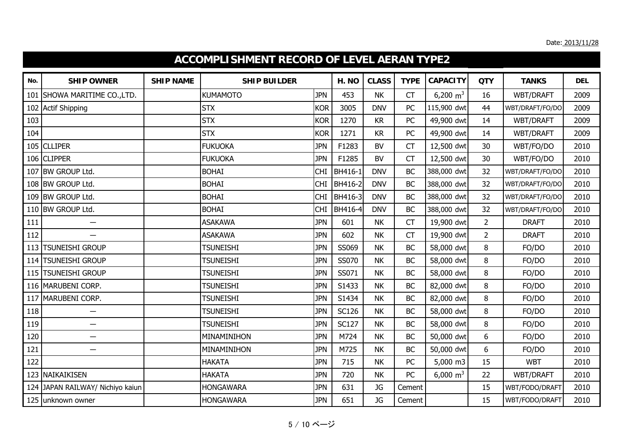|     | <b>ACCOMPLISHMENT RECORD OF LEVEL AERAN TYPE2</b> |                  |                     |            |              |              |             |                 |                |                 |            |  |  |
|-----|---------------------------------------------------|------------------|---------------------|------------|--------------|--------------|-------------|-----------------|----------------|-----------------|------------|--|--|
| No. | <b>SHIP OWNER</b>                                 | <b>SHIP NAME</b> | <b>SHIP BUILDER</b> |            | H. NO        | <b>CLASS</b> | <b>TYPE</b> | <b>CAPACITY</b> | <b>QTY</b>     | <b>TANKS</b>    | <b>DEL</b> |  |  |
| 101 | SHOWA MARITIME CO., LTD.                          |                  | KUMAMOTO            | <b>JPN</b> | 453          | <b>NK</b>    | <b>CT</b>   | 6,200 $m^3$     | 16             | WBT/DRAFT       | 2009       |  |  |
|     | 102 Actif Shipping                                |                  | <b>STX</b>          | <b>KOR</b> | 3005         | <b>DNV</b>   | PC          | 115,900 dwt     | 44             | WBT/DRAFT/FO/DO | 2009       |  |  |
| 103 |                                                   |                  | <b>STX</b>          | <b>KOR</b> | 1270         | KR           | PC          | 49,900 dwt      | 14             | WBT/DRAFT       | 2009       |  |  |
| 104 |                                                   |                  | <b>STX</b>          | <b>KOR</b> | 1271         | <b>KR</b>    | PC          | 49,900 dwt      | 14             | WBT/DRAFT       | 2009       |  |  |
|     | 105 CLLIPER                                       |                  | <b>FUKUOKA</b>      | <b>JPN</b> | F1283        | <b>BV</b>    | <b>CT</b>   | 12,500 dwt      | 30             | WBT/FO/DO       | 2010       |  |  |
|     | 106 CLIPPER                                       |                  | <b>FUKUOKA</b>      | <b>JPN</b> | F1285        | <b>BV</b>    | <b>CT</b>   | 12,500 dwt      | 30             | WBT/FO/DO       | 2010       |  |  |
|     | 107 BW GROUP Ltd.                                 |                  | <b>BOHAI</b>        | <b>CHI</b> | BH416-1      | <b>DNV</b>   | BC          | 388,000 dwt     | 32             | WBT/DRAFT/FO/DO | 2010       |  |  |
|     | 108 BW GROUP Ltd.                                 |                  | <b>BOHAI</b>        | <b>CHI</b> | BH416-2      | <b>DNV</b>   | <b>BC</b>   | 388,000 dwt     | 32             | WBT/DRAFT/FO/DO | 2010       |  |  |
| 109 | BW GROUP Ltd.                                     |                  | <b>BOHAI</b>        | <b>CHI</b> | BH416-3      | <b>DNV</b>   | <b>BC</b>   | 388,000 dwt     | 32             | WBT/DRAFT/FO/DO | 2010       |  |  |
|     | 110 BW GROUP Ltd.                                 |                  | <b>BOHAI</b>        | <b>CHI</b> | BH416-4      | <b>DNV</b>   | <b>BC</b>   | 388,000 dwt     | 32             | WBT/DRAFT/FO/DO | 2010       |  |  |
| 111 | $\overline{\phantom{0}}$                          |                  | <b>ASAKAWA</b>      | <b>JPN</b> | 601          | <b>NK</b>    | <b>CT</b>   | 19,900 dwt      | $\overline{2}$ | <b>DRAFT</b>    | 2010       |  |  |
| 112 | $\overline{\phantom{0}}$                          |                  | <b>ASAKAWA</b>      | <b>JPN</b> | 602          | <b>NK</b>    | <b>CT</b>   | 19,900 dwt      | $\overline{2}$ | <b>DRAFT</b>    | 2010       |  |  |
|     | 113 TSUNEISHI GROUP                               |                  | <b>TSUNEISHI</b>    | <b>JPN</b> | SS069        | <b>NK</b>    | <b>BC</b>   | 58,000 dwt      | 8              | FO/DO           | 2010       |  |  |
|     | 114 TSUNEISHI GROUP                               |                  | <b>TSUNEISHI</b>    | <b>JPN</b> | SS070        | <b>NK</b>    | BC          | 58,000 dwt      | 8              | FO/DO           | 2010       |  |  |
|     | 115 TSUNEISHI GROUP                               |                  | <b>TSUNEISHI</b>    | <b>JPN</b> | SS071        | <b>NK</b>    | BC          | 58,000 dwt      | 8              | FO/DO           | 2010       |  |  |
|     | 116 MARUBENI CORP.                                |                  | <b>TSUNEISHI</b>    | <b>JPN</b> | S1433        | <b>NK</b>    | <b>BC</b>   | 82,000 dwt      | 8              | FO/DO           | 2010       |  |  |
|     | 117 MARUBENI CORP.                                |                  | <b>TSUNEISHI</b>    | <b>JPN</b> | S1434        | <b>NK</b>    | <b>BC</b>   | 82,000 dwt      | 8              | FO/DO           | 2010       |  |  |
| 118 | $\overline{\phantom{0}}$                          |                  | <b>TSUNEISHI</b>    | <b>JPN</b> | <b>SC126</b> | <b>NK</b>    | BC          | 58,000 dwt      | 8              | FO/DO           | 2010       |  |  |
| 119 | $\overline{\phantom{0}}$                          |                  | <b>TSUNEISHI</b>    | <b>JPN</b> | <b>SC127</b> | <b>NK</b>    | <b>BC</b>   | 58,000 dwt      | $\bf 8$        | FO/DO           | 2010       |  |  |
| 120 | $\overline{\phantom{0}}$                          |                  | MINAMINIHON         | <b>JPN</b> | M724         | <b>NK</b>    | <b>BC</b>   | 50,000 dwt      | 6              | FO/DO           | 2010       |  |  |
| 121 | $\qquad \qquad -$                                 |                  | MINAMINIHON         | <b>JPN</b> | M725         | <b>NK</b>    | BC          | 50,000 dwt      | 6              | FO/DO           | 2010       |  |  |
| 122 |                                                   |                  | <b>HAKATA</b>       | <b>JPN</b> | 715          | <b>NK</b>    | PC          | 5,000 m3        | 15             | <b>WBT</b>      | 2010       |  |  |
|     | 123 NAIKAIKISEN                                   |                  | <b>HAKATA</b>       | <b>JPN</b> | 720          | <b>NK</b>    | PC          | 6,000 $m^3$     | 22             | WBT/DRAFT       | 2010       |  |  |
|     | 124 JAPAN RAILWAY/ Nichiyo kaiun                  |                  | <b>HONGAWARA</b>    | <b>JPN</b> | 631          | <b>JG</b>    | Cement      |                 | 15             | WBT/FODO/DRAFT  | 2010       |  |  |
|     | 125 unknown owner                                 |                  | <b>HONGAWARA</b>    | <b>JPN</b> | 651          | JG           | Cement      |                 | 15             | WBT/FODO/DRAFT  | 2010       |  |  |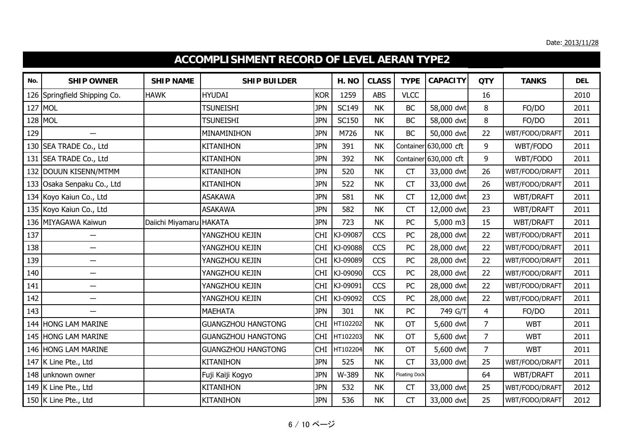|     | ACCOMPLISHMENT RECORD OF LEVEL AERAN TYPE2 |                         |                           |            |              |              |                      |                       |                |                |            |  |  |
|-----|--------------------------------------------|-------------------------|---------------------------|------------|--------------|--------------|----------------------|-----------------------|----------------|----------------|------------|--|--|
| No. | <b>SHIP OWNER</b>                          | <b>SHIP NAME</b>        | <b>SHIP BUILDER</b>       |            | H. NO        | <b>CLASS</b> | <b>TYPE</b>          | <b>CAPACITY</b>       | <b>QTY</b>     | <b>TANKS</b>   | <b>DEL</b> |  |  |
| 126 | Springfield Shipping Co.                   | <b>HAWK</b>             | HYUDAI                    | <b>KOR</b> | 1259         | <b>ABS</b>   | <b>VLCC</b>          |                       | 16             |                | 2010       |  |  |
|     | 127 MOL                                    |                         | <b>TSUNEISHI</b>          | <b>JPN</b> | <b>SC149</b> | <b>NK</b>    | BC                   | 58,000 dwt            | 8              | FO/DO          | 2011       |  |  |
| 128 | MOL                                        |                         | <b>TSUNEISHI</b>          | <b>JPN</b> | <b>SC150</b> | <b>NK</b>    | <b>BC</b>            | 58,000 dwt            | 8              | FO/DO          | 2011       |  |  |
| 129 | $\overline{\phantom{0}}$                   |                         | MINAMINIHON               | <b>JPN</b> | M726         | <b>NK</b>    | <b>BC</b>            | 50,000 dwt            | 22             | WBT/FODO/DRAFT | 2011       |  |  |
|     | 130 SEA TRADE Co., Ltd                     |                         | <b>KITANIHON</b>          | <b>JPN</b> | 391          | <b>NK</b>    |                      | Container 630,000 cft | 9              | WBT/FODO       | 2011       |  |  |
| 131 | SEA TRADE Co., Ltd                         |                         | <b>KITANIHON</b>          | <b>JPN</b> | 392          | <b>NK</b>    |                      | Container 630,000 cft | 9              | WBT/FODO       | 2011       |  |  |
|     | 132 DOUUN KISENN/MTMM                      |                         | <b>KITANIHON</b>          | <b>JPN</b> | 520          | <b>NK</b>    | <b>CT</b>            | 33,000 dwt            | 26             | WBT/FODO/DRAFT | 2011       |  |  |
|     | 133 Osaka Senpaku Co., Ltd                 |                         | <b>KITANIHON</b>          | <b>JPN</b> | 522          | <b>NK</b>    | <b>CT</b>            | 33,000 dwt            | 26             | WBT/FODO/DRAFT | 2011       |  |  |
|     | 134 Koyo Kaiun Co., Ltd                    |                         | <b>ASAKAWA</b>            | <b>JPN</b> | 581          | <b>NK</b>    | CT                   | 12,000 dwt            | 23             | WBT/DRAFT      | 2011       |  |  |
|     | 135 Koyo Kaiun Co., Ltd                    |                         | <b>ASAKAWA</b>            | <b>JPN</b> | 582          | <b>NK</b>    | CT                   | 12,000 dwt            | 23             | WBT/DRAFT      | 2011       |  |  |
|     | 136 MIYAGAWA Kaiwun                        | Daiichi Miyamaru HAKATA |                           | <b>JPN</b> | 723          | <b>NK</b>    | PC                   | 5,000 m3              | 15             | WBT/DRAFT      | 2011       |  |  |
| 137 | —                                          |                         | YANGZHOU KEJIN            | <b>CHI</b> | KJ-09087     | <b>CCS</b>   | PC                   | 28,000 dwt            | 22             | WBT/FODO/DRAFT | 2011       |  |  |
| 138 | $\overline{\phantom{0}}$                   |                         | YANGZHOU KEJIN            |            | CHI KJ-09088 | CCS          | PC                   | 28,000 dwt            | 22             | WBT/FODO/DRAFT | 2011       |  |  |
| 139 | $\overline{\phantom{0}}$                   |                         | YANGZHOU KEJIN            |            | CHI KJ-09089 | <b>CCS</b>   | PC                   | 28,000 dwt            | 22             | WBT/FODO/DRAFT | 2011       |  |  |
| 140 | $\overline{\phantom{0}}$                   |                         | YANGZHOU KEJIN            | <b>CHI</b> | KJ-09090     | <b>CCS</b>   | PC                   | 28,000 dwt            | 22             | WBT/FODO/DRAFT | 2011       |  |  |
| 141 | $\overline{\phantom{0}}$                   |                         | YANGZHOU KEJIN            |            | CHI KJ-09091 | <b>CCS</b>   | PC                   | 28,000 dwt            | 22             | WBT/FODO/DRAFT | 2011       |  |  |
| 142 | $\overline{\phantom{0}}$                   |                         | YANGZHOU KEJIN            | <b>CHI</b> | KJ-09092     | <b>CCS</b>   | PC                   | 28,000 dwt            | 22             | WBT/FODO/DRAFT | 2011       |  |  |
| 143 | $\overline{\phantom{0}}$                   |                         | <b>MAEHATA</b>            | <b>JPN</b> | 301          | <b>NK</b>    | PC                   | 749 G/T               | $\overline{4}$ | FO/DO          | 2011       |  |  |
|     | 144 HONG LAM MARINE                        |                         | <b>GUANGZHOU HANGTONG</b> |            | CHI HT102202 | <b>NK</b>    | OT                   | 5,600 dwt             | $\overline{7}$ | <b>WBT</b>     | 2011       |  |  |
| 145 | <b>HONG LAM MARINE</b>                     |                         | <b>GUANGZHOU HANGTONG</b> | <b>CHI</b> | HT102203     | <b>NK</b>    | <b>OT</b>            | 5,600 dwt             | $\overline{7}$ | <b>WBT</b>     | 2011       |  |  |
|     | 146 HONG LAM MARINE                        |                         | <b>GUANGZHOU HANGTONG</b> | <b>CHI</b> | HT102204     | <b>NK</b>    | <b>OT</b>            | 5,600 dwt             | $\overline{7}$ | <b>WBT</b>     | 2011       |  |  |
|     | 147 K Line Pte., Ltd                       |                         | <b>KITANIHON</b>          | <b>JPN</b> | 525          | <b>NK</b>    | <b>CT</b>            | 33,000 dwt            | 25             | WBT/FODO/DRAFT | 2011       |  |  |
| 148 | unknown owner                              |                         | Fuji Kaiji Kogyo          | <b>JPN</b> | W-389        | <b>NK</b>    | <b>Floating Dock</b> |                       | 64             | WBT/DRAFT      | 2011       |  |  |
|     | 149 K Line Pte., Ltd                       |                         | <b>KITANIHON</b>          | <b>JPN</b> | 532          | <b>NK</b>    | <b>CT</b>            | 33,000 dwt            | 25             | WBT/FODO/DRAFT | 2012       |  |  |
|     | 150 K Line Pte., Ltd                       |                         | <b>KITANIHON</b>          | <b>JPN</b> | 536          | <b>NK</b>    | CT                   | 33,000 dwt            | 25             | WBT/FODO/DRAFT | 2012       |  |  |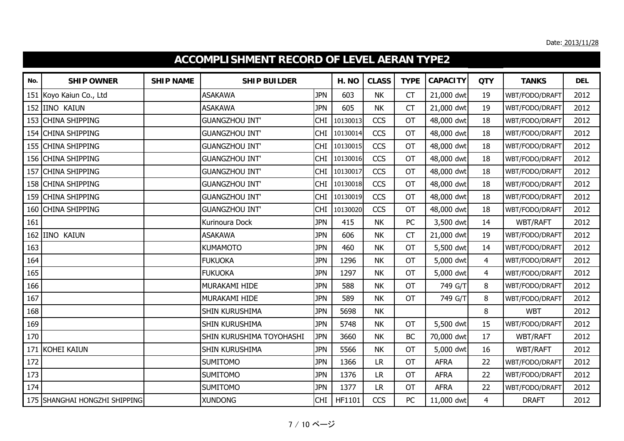|     | <b>ACCOMPLISHMENT RECORD OF LEVEL AERAN TYPE2</b> |                  |                          |            |          |              |             |                 |                |                 |            |  |  |
|-----|---------------------------------------------------|------------------|--------------------------|------------|----------|--------------|-------------|-----------------|----------------|-----------------|------------|--|--|
| No. | <b>SHIP OWNER</b>                                 | <b>SHIP NAME</b> | <b>SHIP BUILDER</b>      |            | H. NO    | <b>CLASS</b> | <b>TYPE</b> | <b>CAPACITY</b> | <b>QTY</b>     | <b>TANKS</b>    | <b>DEL</b> |  |  |
| 151 | Koyo Kaiun Co., Ltd                               |                  | <b>ASAKAWA</b>           | <b>JPN</b> | 603      | <b>NK</b>    | CT          | 21,000 dwt      | 19             | WBT/FODO/DRAFT  | 2012       |  |  |
| 152 | <b>IINO KAIUN</b>                                 |                  | <b>ASAKAWA</b>           | <b>JPN</b> | 605      | <b>NK</b>    | <b>CT</b>   | 21,000 dwt      | 19             | WBT/FODO/DRAFT  | 2012       |  |  |
| 153 | <b>CHINA SHIPPING</b>                             |                  | <b>GUANGZHOU INT'</b>    | <b>CHI</b> | 10130013 | <b>CCS</b>   | <b>OT</b>   | 48,000 dwt      | 18             | WBT/FODO/DRAFT  | 2012       |  |  |
|     | 154 CHINA SHIPPING                                |                  | <b>GUANGZHOU INT'</b>    | <b>CHI</b> | 10130014 | <b>CCS</b>   | OT          | 48,000 dwt      | 18             | WBT/FODO/DRAFT  | 2012       |  |  |
|     | 155 CHINA SHIPPING                                |                  | <b>GUANGZHOU INT'</b>    | <b>CHI</b> | 10130015 | <b>CCS</b>   | OT          | 48,000 dwt      | 18             | WBT/FODO/DRAFT  | 2012       |  |  |
| 156 | <b>CHINA SHIPPING</b>                             |                  | <b>GUANGZHOU INT'</b>    | <b>CHI</b> | 10130016 | <b>CCS</b>   | <b>OT</b>   | 48,000 dwt      | 18             | WBT/FODO/DRAFT  | 2012       |  |  |
| 157 | <b>CHINA SHIPPING</b>                             |                  | <b>GUANGZHOU INT</b>     | <b>CHI</b> | 10130017 | <b>CCS</b>   | OT          | 48,000 dwt      | 18             | WBT/FODO/DRAFT  | 2012       |  |  |
| 158 | <b>CHINA SHIPPING</b>                             |                  | <b>GUANGZHOU INT'</b>    | <b>CHI</b> | 10130018 | <b>CCS</b>   | <b>OT</b>   | 48,000 dwt      | 18             | WBT/FODO/DRAFT  | 2012       |  |  |
| 159 | <b>CHINA SHIPPING</b>                             |                  | <b>GUANGZHOU INT'</b>    | <b>CHI</b> | 10130019 | <b>CCS</b>   | OT          | 48,000 dwt      | 18             | WBT/FODO/DRAFT  | 2012       |  |  |
|     | 160 CHINA SHIPPING                                |                  | <b>GUANGZHOU INT'</b>    | <b>CHI</b> | 10130020 | <b>CCS</b>   | OT          | 48,000 dwt      | 18             | WBT/FODO/DRAFT  | 2012       |  |  |
| 161 |                                                   |                  | Kurinoura Dock           | <b>JPN</b> | 415      | <b>NK</b>    | PC          | 3,500 dwt       | 14             | WBT/RAFT        | 2012       |  |  |
| 162 | <b>IINO KAIUN</b>                                 |                  | <b>ASAKAWA</b>           | <b>JPN</b> | 606      | <b>NK</b>    | <b>CT</b>   | 21,000 dwt      | 19             | WBT/FODO/DRAFT  | 2012       |  |  |
| 163 |                                                   |                  | <b>KUMAMOTO</b>          | <b>JPN</b> | 460      | <b>NK</b>    | OT          | 5,500 dwt       | 14             | WBT/FODO/DRAFT  | 2012       |  |  |
| 164 |                                                   |                  | <b>FUKUOKA</b>           | <b>JPN</b> | 1296     | <b>NK</b>    | <b>OT</b>   | 5,000 dwt       | $\overline{4}$ | WBT/FODO/DRAFT  | 2012       |  |  |
| 165 |                                                   |                  | <b>FUKUOKA</b>           | <b>JPN</b> | 1297     | <b>NK</b>    | <b>OT</b>   | 5,000 dwt       | $\overline{4}$ | WBT/FODO/DRAFT  | 2012       |  |  |
| 166 |                                                   |                  | MURAKAMI HIDE            | <b>JPN</b> | 588      | <b>NK</b>    | <b>OT</b>   | 749 G/T         | 8              | WBT/FODO/DRAFT  | 2012       |  |  |
| 167 |                                                   |                  | MURAKAMI HIDE            | <b>JPN</b> | 589      | <b>NK</b>    | OT          | 749 G/T         | 8              | WBT/FODO/DRAFT  | 2012       |  |  |
| 168 |                                                   |                  | SHIN KURUSHIMA           | <b>JPN</b> | 5698     | <b>NK</b>    |             |                 | 8              | <b>WBT</b>      | 2012       |  |  |
| 169 |                                                   |                  | SHIN KURUSHIMA           | <b>JPN</b> | 5748     | <b>NK</b>    | OT          | 5,500 dwt       | 15             | WBT/FODO/DRAFT  | 2012       |  |  |
| 170 |                                                   |                  | SHIN KURUSHIMA TOYOHASHI | <b>JPN</b> | 3660     | <b>NK</b>    | BC          | 70,000 dwt      | 17             | <b>WBT/RAFT</b> | 2012       |  |  |
| 171 | KOHEI KAIUN                                       |                  | SHIN KURUSHIMA           | <b>JPN</b> | 5566     | <b>NK</b>    | OT          | 5,000 dwt       | 16             | <b>WBT/RAFT</b> | 2012       |  |  |
| 172 |                                                   |                  | <b>SUMITOMO</b>          | <b>JPN</b> | 1366     | <b>LR</b>    | <b>OT</b>   | <b>AFRA</b>     | 22             | WBT/FODO/DRAFT  | 2012       |  |  |
| 173 |                                                   |                  | <b>SUMITOMO</b>          | <b>JPN</b> | 1376     | <b>LR</b>    | <b>OT</b>   | <b>AFRA</b>     | 22             | WBT/FODO/DRAFT  | 2012       |  |  |
| 174 |                                                   |                  | <b>SUMITOMO</b>          | <b>JPN</b> | 1377     | <b>LR</b>    | OT          | <b>AFRA</b>     | 22             | WBT/FODO/DRAFT  | 2012       |  |  |
|     | 175 SHANGHAI HONGZHI SHIPPING                     |                  | <b>XUNDONG</b>           | <b>CHI</b> | HF1101   | <b>CCS</b>   | PC          | 11,000 dwt      | $\overline{4}$ | <b>DRAFT</b>    | 2012       |  |  |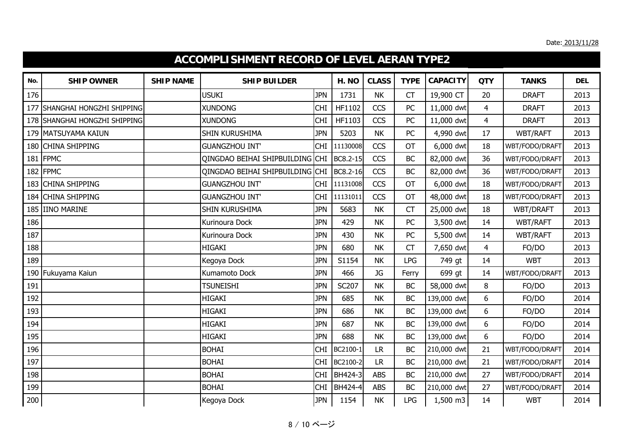|     | <b>ACCOMPLISHMENT RECORD OF LEVEL AERAN TYPE2</b> |                  |                                 |            |                |              |             |                 |                |                 |            |  |  |
|-----|---------------------------------------------------|------------------|---------------------------------|------------|----------------|--------------|-------------|-----------------|----------------|-----------------|------------|--|--|
| No. | <b>SHIP OWNER</b>                                 | <b>SHIP NAME</b> | <b>SHIP BUILDER</b>             |            | H. NO          | <b>CLASS</b> | <b>TYPE</b> | <b>CAPACITY</b> | <b>QTY</b>     | <b>TANKS</b>    | <b>DEL</b> |  |  |
| 176 |                                                   |                  | <b>USUKI</b>                    | <b>JPN</b> | 1731           | <b>NK</b>    | CT          | 19,900 CT       | 20             | <b>DRAFT</b>    | 2013       |  |  |
| 177 | SHANGHAI HONGZHI SHIPPING                         |                  | <b>XUNDONG</b>                  | <b>CHI</b> | HF1102         | <b>CCS</b>   | PC          | 11,000 dwt      | $\overline{4}$ | <b>DRAFT</b>    | 2013       |  |  |
| 178 | SHANGHAI HONGZHI SHIPPING                         |                  | <b>XUNDONG</b>                  | <b>CHI</b> | HF1103         | <b>CCS</b>   | PC          | 11,000 dwt      | $\overline{4}$ | <b>DRAFT</b>    | 2013       |  |  |
|     | 179 MATSUYAMA KAIUN                               |                  | SHIN KURUSHIMA                  | <b>JPN</b> | 5203           | <b>NK</b>    | PC          | 4,990 dwt       | 17             | <b>WBT/RAFT</b> | 2013       |  |  |
| 180 | <b>CHINA SHIPPING</b>                             |                  | <b>GUANGZHOU INT'</b>           | <b>CHI</b> | 11130008       | <b>CCS</b>   | <b>OT</b>   | 6,000 dwt       | 18             | WBT/FODO/DRAFT  | 2013       |  |  |
| 181 | <b>FPMC</b>                                       |                  | QINGDAO BEIHAI SHIPBUILDING CHI |            | BC8.2-15       | <b>CCS</b>   | <b>BC</b>   | 82,000 dwt      | 36             | WBT/FODO/DRAFT  | 2013       |  |  |
|     | 182 FPMC                                          |                  | QINGDAO BEIHAI SHIPBUILDING CHI |            | BC8.2-16       | <b>CCS</b>   | <b>BC</b>   | 82,000 dwt      | 36             | WBT/FODO/DRAFT  | 2013       |  |  |
| 183 | <b>CHINA SHIPPING</b>                             |                  | <b>GUANGZHOU INT'</b>           | <b>CHI</b> | 11131008       | <b>CCS</b>   | <b>OT</b>   | 6,000 dwt       | 18             | WBT/FODO/DRAFT  | 2013       |  |  |
| 184 | <b>CHINA SHIPPING</b>                             |                  | <b>GUANGZHOU INT'</b>           | <b>CHI</b> | 11131011       | <b>CCS</b>   | OT          | 48,000 dwt      | 18             | WBT/FODO/DRAFT  | 2013       |  |  |
| 185 | <b>IINO MARINE</b>                                |                  | SHIN KURUSHIMA                  | <b>JPN</b> | 5683           | <b>NK</b>    | CT          | 25,000 dwt      | 18             | WBT/DRAFT       | 2013       |  |  |
| 186 |                                                   |                  | Kurinoura Dock                  | <b>JPN</b> | 429            | <b>NK</b>    | <b>PC</b>   | 3,500 dwt       | 14             | WBT/RAFT        | 2013       |  |  |
| 187 |                                                   |                  | Kurinoura Dock                  | <b>JPN</b> | 430            | <b>NK</b>    | PC          | 5,500 dwt       | 14             | <b>WBT/RAFT</b> | 2013       |  |  |
| 188 |                                                   |                  | <b>HIGAKI</b>                   | <b>JPN</b> | 680            | <b>NK</b>    | CT          | 7,650 dwt       | $\overline{4}$ | FO/DO           | 2013       |  |  |
| 189 |                                                   |                  | Kegoya Dock                     | <b>JPN</b> | S1154          | <b>NK</b>    | <b>LPG</b>  | 749 gt          | 14             | <b>WBT</b>      | 2013       |  |  |
| 190 | Fukuyama Kaiun                                    |                  | Kumamoto Dock                   | <b>JPN</b> | 466            | JG           | Ferry       | 699 gt          | 14             | WBT/FODO/DRAFT  | 2013       |  |  |
| 191 |                                                   |                  | <b>TSUNEISHI</b>                | <b>JPN</b> | SC207          | <b>NK</b>    | <b>BC</b>   | 58,000 dwt      | $\,8\,$        | FO/DO           | 2013       |  |  |
| 192 |                                                   |                  | <b>HIGAKI</b>                   | <b>JPN</b> | 685            | <b>NK</b>    | <b>BC</b>   | 139,000 dwt     | 6              | FO/DO           | 2014       |  |  |
| 193 |                                                   |                  | <b>HIGAKI</b>                   | <b>JPN</b> | 686            | <b>NK</b>    | <b>BC</b>   | 139,000 dwt     | 6              | FO/DO           | 2014       |  |  |
| 194 |                                                   |                  | <b>HIGAKI</b>                   | <b>JPN</b> | 687            | <b>NK</b>    | <b>BC</b>   | 139,000 dwt     | 6              | FO/DO           | 2014       |  |  |
| 195 |                                                   |                  | <b>HIGAKI</b>                   | <b>JPN</b> | 688            | <b>NK</b>    | <b>BC</b>   | 139,000 dwt     | 6              | FO/DO           | 2014       |  |  |
| 196 |                                                   |                  | <b>BOHAI</b>                    | <b>CHI</b> | BC2100-1       | <b>LR</b>    | <b>BC</b>   | 210,000 dwt     | 21             | WBT/FODO/DRAFT  | 2014       |  |  |
| 197 |                                                   |                  | <b>BOHAI</b>                    | <b>CHI</b> | BC2100-2       | <b>LR</b>    | <b>BC</b>   | 210,000 dwt     | 21             | WBT/FODO/DRAFT  | 2014       |  |  |
| 198 |                                                   |                  | <b>BOHAI</b>                    | <b>CHI</b> | <b>BH424-3</b> | <b>ABS</b>   | <b>BC</b>   | 210,000 dwt     | 27             | WBT/FODO/DRAFT  | 2014       |  |  |
| 199 |                                                   |                  | <b>BOHAI</b>                    | <b>CHI</b> | BH424-4        | <b>ABS</b>   | <b>BC</b>   | 210,000 dwt     | 27             | WBT/FODO/DRAFT  | 2014       |  |  |
| 200 |                                                   |                  | Kegoya Dock                     | <b>JPN</b> | 1154           | <b>NK</b>    | <b>LPG</b>  | 1,500 m3        | 14             | <b>WBT</b>      | 2014       |  |  |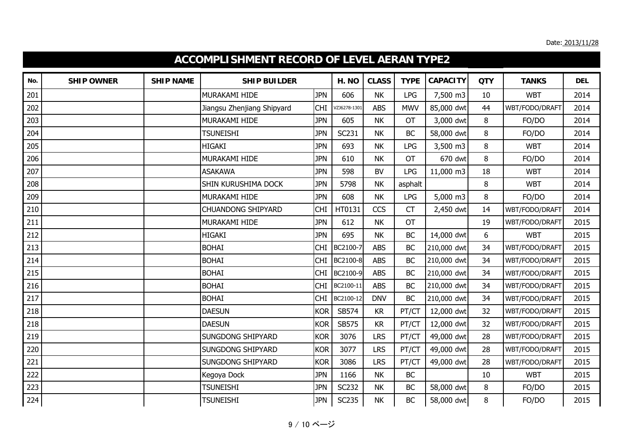|     | <b>ACCOMPLISHMENT RECORD OF LEVEL AERAN TYPE2</b> |                  |                            |            |              |              |             |                 |            |                |            |  |
|-----|---------------------------------------------------|------------------|----------------------------|------------|--------------|--------------|-------------|-----------------|------------|----------------|------------|--|
| No. | <b>SHIP OWNER</b>                                 | <b>SHIP NAME</b> | <b>SHIP BUILDER</b>        |            | H. NO        | <b>CLASS</b> | <b>TYPE</b> | <b>CAPACITY</b> | <b>QTY</b> | <b>TANKS</b>   | <b>DEL</b> |  |
| 201 |                                                   |                  | MURAKAMI HIDE              | <b>JPN</b> | 606          | <b>NK</b>    | <b>LPG</b>  | 7,500 m3        | 10         | <b>WBT</b>     | 2014       |  |
| 202 |                                                   |                  | Jiangsu Zhenjiang Shipyard | <b>CHI</b> | VZJ6278-1301 | <b>ABS</b>   | <b>MWV</b>  | 85,000 dwt      | 44         | WBT/FODO/DRAFT | 2014       |  |
| 203 |                                                   |                  | MURAKAMI HIDE              | <b>JPN</b> | 605          | <b>NK</b>    | <b>OT</b>   | 3,000 dwt       | 8          | FO/DO          | 2014       |  |
| 204 |                                                   |                  | <b>TSUNEISHI</b>           | <b>JPN</b> | SC231        | <b>NK</b>    | <b>BC</b>   | 58,000 dwt      | 8          | FO/DO          | 2014       |  |
| 205 |                                                   |                  | <b>HIGAKI</b>              | <b>JPN</b> | 693          | <b>NK</b>    | <b>LPG</b>  | 3,500 m3        | 8          | <b>WBT</b>     | 2014       |  |
| 206 |                                                   |                  | MURAKAMI HIDE              | <b>JPN</b> | 610          | <b>NK</b>    | OT          | 670 dwt         | 8          | FO/DO          | 2014       |  |
| 207 |                                                   |                  | <b>ASAKAWA</b>             | <b>JPN</b> | 598          | <b>BV</b>    | <b>LPG</b>  | 11,000 m3       | 18         | <b>WBT</b>     | 2014       |  |
| 208 |                                                   |                  | <b>SHIN KURUSHIMA DOCK</b> | <b>JPN</b> | 5798         | <b>NK</b>    | asphalt     |                 | 8          | <b>WBT</b>     | 2014       |  |
| 209 |                                                   |                  | <b>MURAKAMI HIDE</b>       | <b>JPN</b> | 608          | <b>NK</b>    | <b>LPG</b>  | 5,000 m3        | 8          | FO/DO          | 2014       |  |
| 210 |                                                   |                  | <b>CHUANDONG SHIPYARD</b>  | <b>CHI</b> | HT0131       | <b>CCS</b>   | CT          | 2,450 dwt       | 14         | WBT/FODO/DRAFT | 2014       |  |
| 211 |                                                   |                  | MURAKAMI HIDE              | <b>JPN</b> | 612          | <b>NK</b>    | <b>OT</b>   |                 | 19         | WBT/FODO/DRAFT | 2015       |  |
| 212 |                                                   |                  | <b>HIGAKI</b>              | <b>JPN</b> | 695          | <b>NK</b>    | <b>BC</b>   | 14,000 dwt      | 6          | <b>WBT</b>     | 2015       |  |
| 213 |                                                   |                  | <b>BOHAI</b>               | <b>CHI</b> | BC2100-7     | <b>ABS</b>   | <b>BC</b>   | 210,000 dwt     | 34         | WBT/FODO/DRAFT | 2015       |  |
| 214 |                                                   |                  | <b>BOHAI</b>               | <b>CHI</b> | BC2100-8     | <b>ABS</b>   | <b>BC</b>   | 210,000 dwt     | 34         | WBT/FODO/DRAFT | 2015       |  |
| 215 |                                                   |                  | <b>BOHAI</b>               | <b>CHI</b> | BC2100-9     | <b>ABS</b>   | <b>BC</b>   | 210,000 dwt     | 34         | WBT/FODO/DRAFT | 2015       |  |
| 216 |                                                   |                  | <b>BOHAI</b>               | <b>CHI</b> | BC2100-11    | <b>ABS</b>   | <b>BC</b>   | 210,000 dwt     | 34         | WBT/FODO/DRAFT | 2015       |  |
| 217 |                                                   |                  | <b>BOHAI</b>               | <b>CHI</b> | BC2100-12    | <b>DNV</b>   | <b>BC</b>   | 210,000 dwt     | 34         | WBT/FODO/DRAFT | 2015       |  |
| 218 |                                                   |                  | <b>DAESUN</b>              | <b>KOR</b> | SB574        | KR           | PT/CT       | 12,000 dwt      | 32         | WBT/FODO/DRAFT | 2015       |  |
| 218 |                                                   |                  | <b>DAESUN</b>              | <b>KOR</b> | SB575        | KR           | PT/CT       | 12,000 dwt      | 32         | WBT/FODO/DRAFT | 2015       |  |
| 219 |                                                   |                  | <b>SUNGDONG SHIPYARD</b>   | <b>KOR</b> | 3076         | <b>LRS</b>   | PT/CT       | 49,000 dwt      | 28         | WBT/FODO/DRAFT | 2015       |  |
| 220 |                                                   |                  | <b>SUNGDONG SHIPYARD</b>   | <b>KOR</b> | 3077         | <b>LRS</b>   | PT/CT       | 49,000 dwt      | 28         | WBT/FODO/DRAFT | 2015       |  |
| 221 |                                                   |                  | <b>SUNGDONG SHIPYARD</b>   | <b>KOR</b> | 3086         | <b>LRS</b>   | PT/CT       | 49,000 dwt      | 28         | WBT/FODO/DRAFT | 2015       |  |
| 222 |                                                   |                  | Kegoya Dock                | <b>JPN</b> | 1166         | <b>NK</b>    | <b>BC</b>   |                 | 10         | <b>WBT</b>     | 2015       |  |
| 223 |                                                   |                  | <b>TSUNEISHI</b>           | <b>JPN</b> | <b>SC232</b> | <b>NK</b>    | <b>BC</b>   | 58,000 dwt      | 8          | FO/DO          | 2015       |  |
| 224 |                                                   |                  | <b>TSUNEISHI</b>           | <b>JPN</b> | <b>SC235</b> | <b>NK</b>    | BC          | 58,000 dwt      | 8          | FO/DO          | 2015       |  |